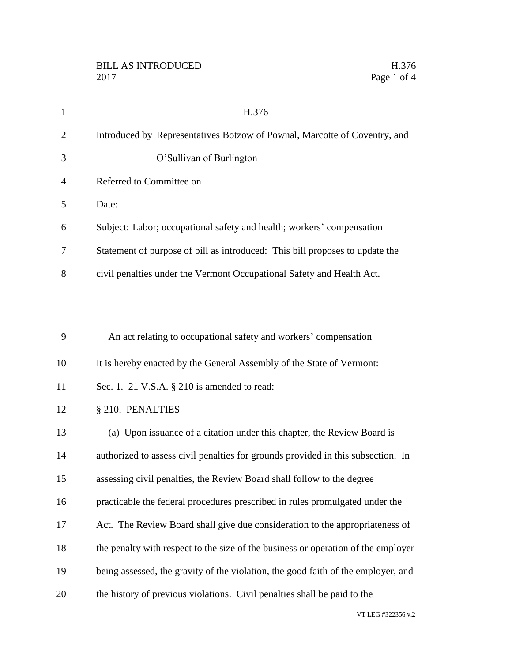| $\mathbf{1}$   | H.376                                                                             |
|----------------|-----------------------------------------------------------------------------------|
| $\overline{2}$ | Introduced by Representatives Botzow of Pownal, Marcotte of Coventry, and         |
| 3              | O'Sullivan of Burlington                                                          |
| 4              | Referred to Committee on                                                          |
| 5              | Date:                                                                             |
| 6              | Subject: Labor; occupational safety and health; workers' compensation             |
| 7              | Statement of purpose of bill as introduced: This bill proposes to update the      |
| 8              | civil penalties under the Vermont Occupational Safety and Health Act.             |
|                |                                                                                   |
|                |                                                                                   |
| 9              | An act relating to occupational safety and workers' compensation                  |
| 10             | It is hereby enacted by the General Assembly of the State of Vermont:             |
| 11             | Sec. 1. 21 V.S.A. § 210 is amended to read:                                       |
| 12             | § 210. PENALTIES                                                                  |
| 13             | (a) Upon issuance of a citation under this chapter, the Review Board is           |
| 14             | authorized to assess civil penalties for grounds provided in this subsection. In  |
| 15             | assessing civil penalties, the Review Board shall follow to the degree            |
| 16             | practicable the federal procedures prescribed in rules promulgated under the      |
| 17             | Act. The Review Board shall give due consideration to the appropriateness of      |
| 18             | the penalty with respect to the size of the business or operation of the employer |
| 19             | being assessed, the gravity of the violation, the good faith of the employer, and |
| 20             | the history of previous violations. Civil penalties shall be paid to the          |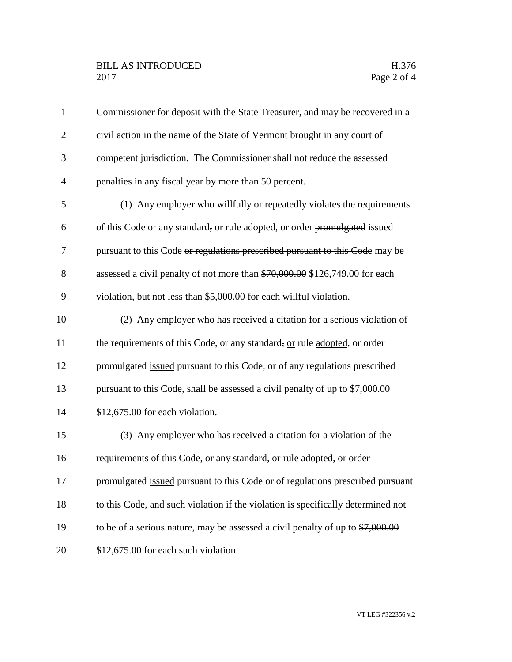| $\mathbf{1}$   | Commissioner for deposit with the State Treasurer, and may be recovered in a             |
|----------------|------------------------------------------------------------------------------------------|
| $\overline{2}$ | civil action in the name of the State of Vermont brought in any court of                 |
| 3              | competent jurisdiction. The Commissioner shall not reduce the assessed                   |
| $\overline{4}$ | penalties in any fiscal year by more than 50 percent.                                    |
| 5              | (1) Any employer who willfully or repeatedly violates the requirements                   |
| 6              | of this Code or any standard, or rule adopted, or order promulgated issued               |
| 7              | pursuant to this Code or regulations prescribed pursuant to this Code may be             |
| 8              | assessed a civil penalty of not more than \$70,000.00 \$126,749.00 for each              |
| 9              | violation, but not less than \$5,000.00 for each willful violation.                      |
| 10             | (2) Any employer who has received a citation for a serious violation of                  |
| 11             | the requirements of this Code, or any standard, or rule adopted, or order                |
| 12             | promulgated issued pursuant to this Code, or of any regulations prescribed               |
| 13             | pursuant to this Code, shall be assessed a civil penalty of up to \$7,000.00             |
| 14             | $$12,675.00$ for each violation.                                                         |
| 15             | (3) Any employer who has received a citation for a violation of the                      |
| 16             | requirements of this Code, or any standard, or rule adopted, or order                    |
| 17             | promulgated issued pursuant to this Code or of regulations prescribed pursuant           |
| 18             | to this Code, and such violation if the violation is specifically determined not         |
| 19             | to be of a serious nature, may be assessed a civil penalty of up to $\frac{$7,000.00}{}$ |
| 20             | $$12,675.00$ for each such violation.                                                    |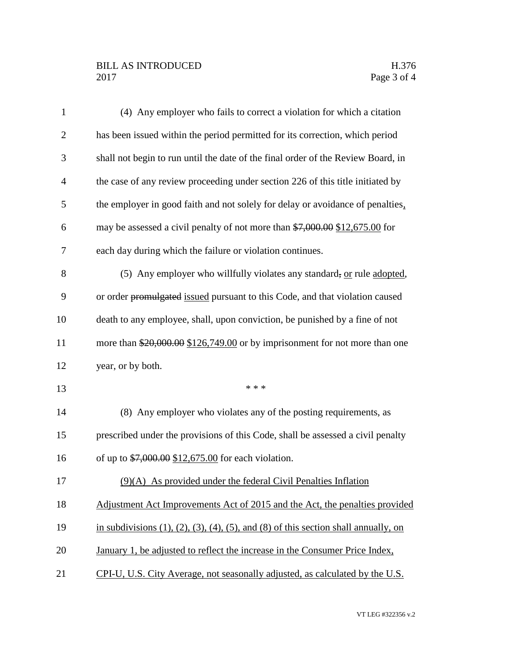## BILL AS INTRODUCED H.376 Page 3 of 4

| 1              | (4) Any employer who fails to correct a violation for which a citation                               |
|----------------|------------------------------------------------------------------------------------------------------|
| $\overline{c}$ | has been issued within the period permitted for its correction, which period                         |
| 3              | shall not begin to run until the date of the final order of the Review Board, in                     |
| $\overline{4}$ | the case of any review proceeding under section 226 of this title initiated by                       |
| 5              | the employer in good faith and not solely for delay or avoidance of penalties.                       |
| 6              | may be assessed a civil penalty of not more than \$7,000.00 \$12,675.00 for                          |
| 7              | each day during which the failure or violation continues.                                            |
| 8              | (5) Any employer who willfully violates any standard, or rule adopted,                               |
| 9              | or order promulgated issued pursuant to this Code, and that violation caused                         |
| 10             | death to any employee, shall, upon conviction, be punished by a fine of not                          |
| 11             | more than $$20,000.00$ $$126,749.00$ or by imprisonment for not more than one                        |
| 12             | year, or by both.                                                                                    |
| 13             | * * *                                                                                                |
| 14             | (8) Any employer who violates any of the posting requirements, as                                    |
| 15             | prescribed under the provisions of this Code, shall be assessed a civil penalty                      |
| 16             | of up to $$7,000.00$ \$12,675.00 for each violation.                                                 |
| 17             | $(9)(A)$ As provided under the federal Civil Penalties Inflation                                     |
| 18             | Adjustment Act Improvements Act of 2015 and the Act, the penalties provided                          |
| 19             | in subdivisions $(1)$ , $(2)$ , $(3)$ , $(4)$ , $(5)$ , and $(8)$ of this section shall annually, on |
| 20             | January 1, be adjusted to reflect the increase in the Consumer Price Index,                          |
| 21             | CPI-U, U.S. City Average, not seasonally adjusted, as calculated by the U.S.                         |